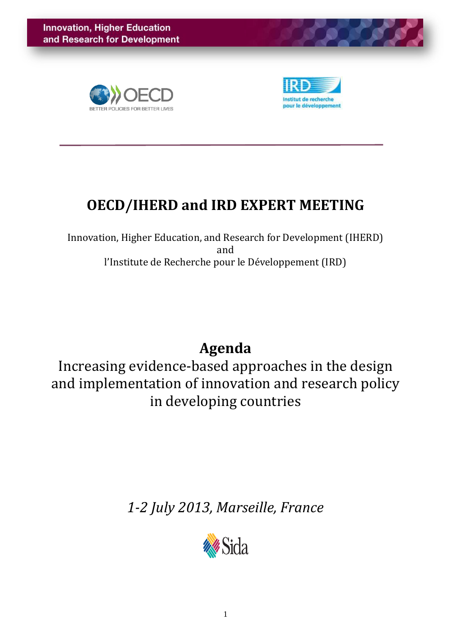



### **OECD/IHERD and IRD EXPERT MEETING**

Innovation, Higher Education, and Research for Development (IHERD) and l'Institute de Recherche pour le Développement (IRD)

### **Agenda**

Increasing evidence-based approaches in the design and implementation of innovation and research policy in developing countries

*1-2 July 2013, Marseille, France*

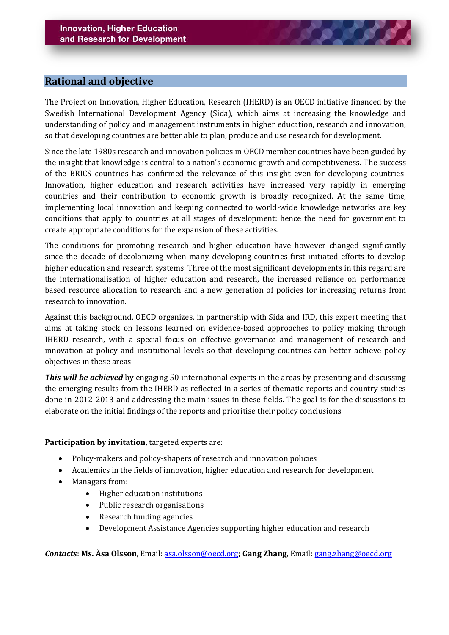### **Rational and objective**

The Project on Innovation, Higher Education, Research (IHERD) is an OECD initiative financed by the Swedish International Development Agency (Sida), which aims at increasing the knowledge and understanding of policy and management instruments in higher education, research and innovation, so that developing countries are better able to plan, produce and use research for development.

Since the late 1980s research and innovation policies in OECD member countries have been guided by the insight that knowledge is central to a nation's economic growth and competitiveness. The success of the BRICS countries has confirmed the relevance of this insight even for developing countries. Innovation, higher education and research activities have increased very rapidly in emerging countries and their contribution to economic growth is broadly recognized. At the same time, implementing local innovation and keeping connected to world-wide knowledge networks are key conditions that apply to countries at all stages of development: hence the need for government to create appropriate conditions for the expansion of these activities.

The conditions for promoting research and higher education have however changed significantly since the decade of decolonizing when many developing countries first initiated efforts to develop higher education and research systems. Three of the most significant developments in this regard are the internationalisation of higher education and research, the increased reliance on performance based resource allocation to research and a new generation of policies for increasing returns from research to innovation.

Against this background, OECD organizes, in partnership with Sida and IRD, this expert meeting that aims at taking stock on lessons learned on evidence-based approaches to policy making through IHERD research, with a special focus on effective governance and management of research and innovation at policy and institutional levels so that developing countries can better achieve policy objectives in these areas.

*This will be achieved* by engaging 50 international experts in the areas by presenting and discussing the emerging results from the IHERD as reflected in a series of thematic reports and country studies done in 2012-2013 and addressing the main issues in these fields. The goal is for the discussions to elaborate on the initial findings of the reports and prioritise their policy conclusions.

#### **Participation by invitation**, targeted experts are:

- Policy-makers and policy-shapers of research and innovation policies
- Academics in the fields of innovation, higher education and research for development
- Managers from:
	- Higher education institutions
	- Public research organisations
	- Research funding agencies
	- Development Assistance Agencies supporting higher education and research

*Contacts*: **Ms. Åsa Olsson**, Email: [asa.olsson@oecd.org;](mailto:asa.olsson@oecd.org) **Gang Zhang**, Email[: gang.zhang@oecd.org](mailto:gang.zhang@oecd.org)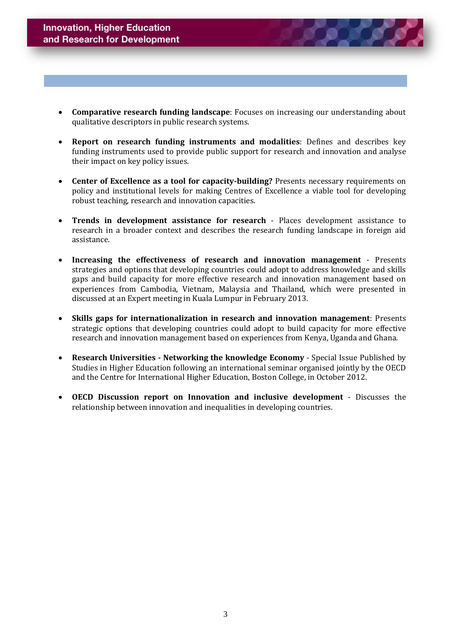- **Comparative research funding landscape**: Focuses on increasing our understanding about qualitative descriptors in public research systems.
- **Report on research funding instruments and modalities**: Defines and describes key funding instruments used to provide public support for research and innovation and analyse their impact on key policy issues.
- **Center of Excellence as a tool for capacity-building?** Presents necessary requirements on policy and institutional levels for making Centres of Excellence a viable tool for developing robust teaching, research and innovation capacities.
- **Trends in development assistance for research** Places development assistance to research in a broader context and describes the research funding landscape in foreign aid assistance.
- **Increasing the effectiveness of research and innovation management** Presents strategies and options that developing countries could adopt to address knowledge and skills gaps and build capacity for more effective research and innovation management based on experiences from Cambodia, Vietnam, Malaysia and Thailand, which were presented in discussed at an Expert meeting in Kuala Lumpur in February 2013.
- **Skills gaps for internationalization in research and innovation management**: Presents strategic options that developing countries could adopt to build capacity for more effective research and innovation management based on experiences from Kenya, Uganda and Ghana.
- **Research Universities - Networking the knowledge Economy** Special Issue Published by Studies in Higher Education following an international seminar organised jointly by the OECD and the Centre for International Higher Education, Boston College, in October 2012.
- **OECD Discussion report on Innovation and inclusive development** Discusses the relationship between innovation and inequalities in developing countries.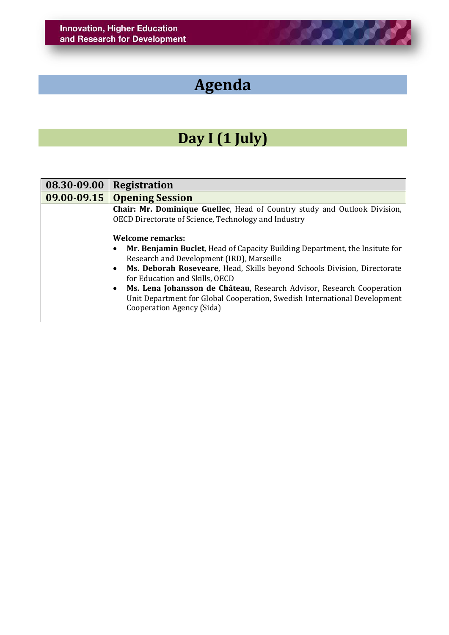# **Agenda**

**ALCOHOL** 

### **Day I (1 July)**

| 08.30-09.00     | <b>Registration</b>                                                                                                                                                                                                                                                                                                                                                                                                                                                                                                                                                                                           |
|-----------------|---------------------------------------------------------------------------------------------------------------------------------------------------------------------------------------------------------------------------------------------------------------------------------------------------------------------------------------------------------------------------------------------------------------------------------------------------------------------------------------------------------------------------------------------------------------------------------------------------------------|
| $09.00 - 09.15$ | <b>Opening Session</b>                                                                                                                                                                                                                                                                                                                                                                                                                                                                                                                                                                                        |
|                 | <b>Chair: Mr. Dominique Guellec, Head of Country study and Outlook Division,</b><br>OECD Directorate of Science, Technology and Industry<br><b>Welcome remarks:</b><br>Mr. Benjamin Buclet, Head of Capacity Building Department, the Insitute for<br>Research and Development (IRD), Marseille<br>Ms. Deborah Roseveare, Head, Skills beyond Schools Division, Directorate<br>$\bullet$<br>for Education and Skills, OECD<br>Ms. Lena Johansson de Château, Research Advisor, Research Cooperation<br>Unit Department for Global Cooperation, Swedish International Development<br>Cooperation Agency (Sida) |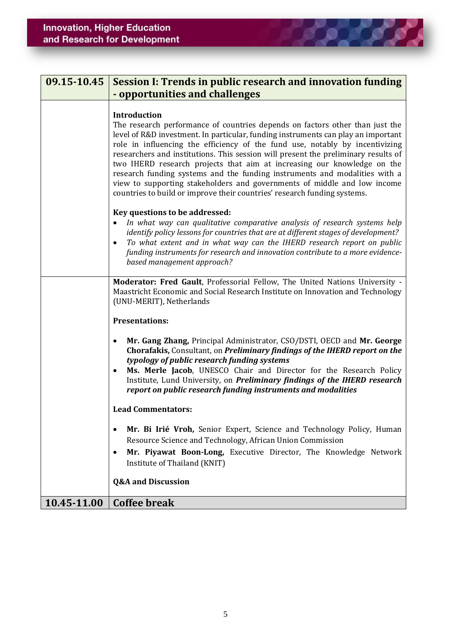| 09.15-10.45 | Session I: Trends in public research and innovation funding<br>- opportunities and challenges                                                                                                                                                                                                                                                                                                                                                                                                                                                                                                                                                                                   |
|-------------|---------------------------------------------------------------------------------------------------------------------------------------------------------------------------------------------------------------------------------------------------------------------------------------------------------------------------------------------------------------------------------------------------------------------------------------------------------------------------------------------------------------------------------------------------------------------------------------------------------------------------------------------------------------------------------|
|             | <b>Introduction</b><br>The research performance of countries depends on factors other than just the<br>level of R&D investment. In particular, funding instruments can play an important<br>role in influencing the efficiency of the fund use, notably by incentivizing<br>researchers and institutions. This session will present the preliminary results of<br>two IHERD research projects that aim at increasing our knowledge on the<br>research funding systems and the funding instruments and modalities with a<br>view to supporting stakeholders and governments of middle and low income<br>countries to build or improve their countries' research funding systems. |
|             | Key questions to be addressed:<br>In what way can qualitative comparative analysis of research systems help<br>identify policy lessons for countries that are at different stages of development?<br>To what extent and in what way can the IHERD research report on public<br>$\bullet$<br>funding instruments for research and innovation contribute to a more evidence-<br>based management approach?                                                                                                                                                                                                                                                                        |
|             | Moderator: Fred Gault, Professorial Fellow, The United Nations University -<br>Maastricht Economic and Social Research Institute on Innovation and Technology<br>(UNU-MERIT), Netherlands                                                                                                                                                                                                                                                                                                                                                                                                                                                                                       |
|             | <b>Presentations:</b>                                                                                                                                                                                                                                                                                                                                                                                                                                                                                                                                                                                                                                                           |
|             | Mr. Gang Zhang, Principal Administrator, CSO/DSTI, OECD and Mr. George<br>٠<br>Chorafakis, Consultant, on Preliminary findings of the IHERD report on the<br>typology of public research funding systems<br>Ms. Merle Jacob, UNESCO Chair and Director for the Research Policy<br>٠<br>Institute, Lund University, on Preliminary findings of the IHERD research<br>report on public research funding instruments and modalities                                                                                                                                                                                                                                                |
|             | <b>Lead Commentators:</b>                                                                                                                                                                                                                                                                                                                                                                                                                                                                                                                                                                                                                                                       |
|             | Mr. Bi Irié Vroh, Senior Expert, Science and Technology Policy, Human<br>Resource Science and Technology, African Union Commission<br>Mr. Piyawat Boon-Long, Executive Director, The Knowledge Network<br>٠<br>Institute of Thailand (KNIT)                                                                                                                                                                                                                                                                                                                                                                                                                                     |
|             | <b>Q&amp;A and Discussion</b>                                                                                                                                                                                                                                                                                                                                                                                                                                                                                                                                                                                                                                                   |
| 10.45-11.00 | <b>Coffee break</b>                                                                                                                                                                                                                                                                                                                                                                                                                                                                                                                                                                                                                                                             |

**DO** 

Э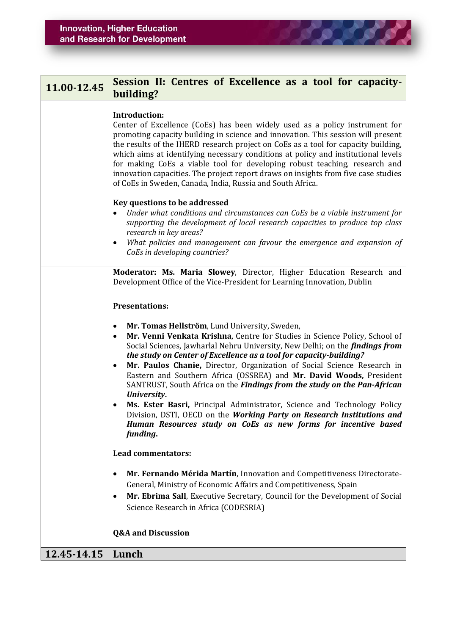| 11.00-12.45 | Session II: Centres of Excellence as a tool for capacity-<br>building?                                                                                                                                                                                                                                                                                                                                                                                                                                                                                                                                                                                                                                                                                                                |
|-------------|---------------------------------------------------------------------------------------------------------------------------------------------------------------------------------------------------------------------------------------------------------------------------------------------------------------------------------------------------------------------------------------------------------------------------------------------------------------------------------------------------------------------------------------------------------------------------------------------------------------------------------------------------------------------------------------------------------------------------------------------------------------------------------------|
|             | <b>Introduction:</b><br>Center of Excellence (CoEs) has been widely used as a policy instrument for<br>promoting capacity building in science and innovation. This session will present<br>the results of the IHERD research project on CoEs as a tool for capacity building,<br>which aims at identifying necessary conditions at policy and institutional levels<br>for making CoEs a viable tool for developing robust teaching, research and<br>innovation capacities. The project report draws on insights from five case studies<br>of CoEs in Sweden, Canada, India, Russia and South Africa.                                                                                                                                                                                  |
|             | Key questions to be addressed<br>Under what conditions and circumstances can CoEs be a viable instrument for<br>supporting the development of local research capacities to produce top class<br>research in key areas?<br>What policies and management can favour the emergence and expansion of<br>$\bullet$<br>CoEs in developing countries?                                                                                                                                                                                                                                                                                                                                                                                                                                        |
|             | Moderator: Ms. Maria Slowey, Director, Higher Education Research and<br>Development Office of the Vice-President for Learning Innovation, Dublin<br><b>Presentations:</b>                                                                                                                                                                                                                                                                                                                                                                                                                                                                                                                                                                                                             |
|             | Mr. Tomas Hellström, Lund University, Sweden,<br>Mr. Venni Venkata Krishna, Centre for Studies in Science Policy, School of<br>$\bullet$<br>Social Sciences, Jawharlal Nehru University, New Delhi; on the <i>findings from</i><br>the study on Center of Excellence as a tool for capacity-building?<br>Mr. Paulos Chanie, Director, Organization of Social Science Research in<br>Eastern and Southern Africa (OSSREA) and Mr. David Woods, President<br>SANTRUST, South Africa on the Findings from the study on the Pan-African<br>University.<br>Ms. Ester Basri, Principal Administrator, Science and Technology Policy<br>Division, DSTI, OECD on the Working Party on Research Institutions and<br>Human Resources study on CoEs as new forms for incentive based<br>funding. |
|             | <b>Lead commentators:</b>                                                                                                                                                                                                                                                                                                                                                                                                                                                                                                                                                                                                                                                                                                                                                             |
|             | Mr. Fernando Mérida Martín, Innovation and Competitiveness Directorate-<br>General, Ministry of Economic Affairs and Competitiveness, Spain<br>Mr. Ebrima Sall, Executive Secretary, Council for the Development of Social<br>$\bullet$<br>Science Research in Africa (CODESRIA)                                                                                                                                                                                                                                                                                                                                                                                                                                                                                                      |
|             | <b>Q&amp;A and Discussion</b>                                                                                                                                                                                                                                                                                                                                                                                                                                                                                                                                                                                                                                                                                                                                                         |
| 12.45-14.15 | Lunch                                                                                                                                                                                                                                                                                                                                                                                                                                                                                                                                                                                                                                                                                                                                                                                 |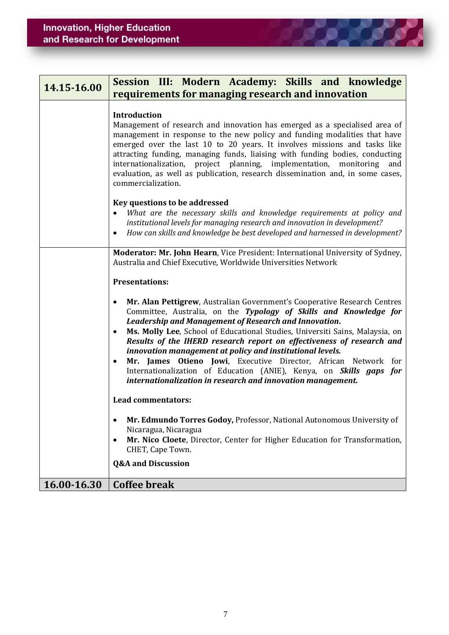| 14.15-16.00 | Session III: Modern Academy: Skills and knowledge<br>requirements for managing research and innovation                                                                                                                                                                                                                                                                                                                                                                                                                                                                    |
|-------------|---------------------------------------------------------------------------------------------------------------------------------------------------------------------------------------------------------------------------------------------------------------------------------------------------------------------------------------------------------------------------------------------------------------------------------------------------------------------------------------------------------------------------------------------------------------------------|
|             | <b>Introduction</b><br>Management of research and innovation has emerged as a specialised area of<br>management in response to the new policy and funding modalities that have<br>emerged over the last 10 to 20 years. It involves missions and tasks like<br>attracting funding, managing funds, liaising with funding bodies, conducting<br>internationalization, project planning, implementation, monitoring<br>and<br>evaluation, as well as publication, research dissemination and, in some cases,<br>commercialization.                                          |
|             | Key questions to be addressed<br>What are the necessary skills and knowledge requirements at policy and<br>institutional levels for managing research and innovation in development?<br>How can skills and knowledge be best developed and harnessed in development?<br>$\bullet$                                                                                                                                                                                                                                                                                         |
|             | Moderator: Mr. John Hearn, Vice President: International University of Sydney,<br>Australia and Chief Executive, Worldwide Universities Network<br><b>Presentations:</b><br>Mr. Alan Pettigrew, Australian Government's Cooperative Research Centres<br>$\bullet$                                                                                                                                                                                                                                                                                                         |
|             | Committee, Australia, on the Typology of Skills and Knowledge for<br><b>Leadership and Management of Research and Innovation.</b><br>Ms. Molly Lee, School of Educational Studies, Universiti Sains, Malaysia, on<br>٠<br>Results of the IHERD research report on effectiveness of research and<br>innovation management at policy and institutional levels.<br>Mr. James Otieno Jowi, Executive Director, African Network for<br>٠<br>Internationalization of Education (ANIE), Kenya, on Skills gaps for<br>internationalization in research and innovation management. |
|             | <b>Lead commentators:</b>                                                                                                                                                                                                                                                                                                                                                                                                                                                                                                                                                 |
|             | Mr. Edmundo Torres Godoy, Professor, National Autonomous University of<br>Nicaragua, Nicaragua<br>Mr. Nico Cloete, Director, Center for Higher Education for Transformation,<br>CHET, Cape Town.<br><b>Q&amp;A and Discussion</b>                                                                                                                                                                                                                                                                                                                                         |
| 16.00-16.30 | <b>Coffee break</b>                                                                                                                                                                                                                                                                                                                                                                                                                                                                                                                                                       |

**DO DO**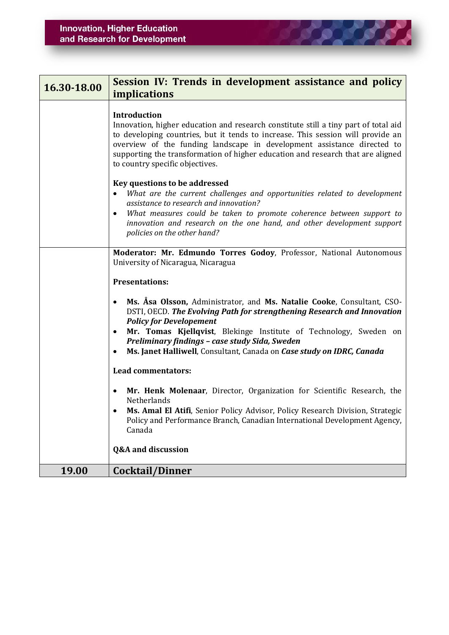| 16.30-18.00 | Session IV: Trends in development assistance and policy<br><i>implications</i>                                                                                                                                                                                                                                                                                                                                                 |
|-------------|--------------------------------------------------------------------------------------------------------------------------------------------------------------------------------------------------------------------------------------------------------------------------------------------------------------------------------------------------------------------------------------------------------------------------------|
|             | <b>Introduction</b><br>Innovation, higher education and research constitute still a tiny part of total aid<br>to developing countries, but it tends to increase. This session will provide an<br>overview of the funding landscape in development assistance directed to<br>supporting the transformation of higher education and research that are aligned<br>to country specific objectives.                                 |
|             | Key questions to be addressed<br>What are the current challenges and opportunities related to development<br>assistance to research and innovation?<br>What measures could be taken to promote coherence between support to<br>innovation and research on the one hand, and other development support<br>policies on the other hand?                                                                                           |
|             | Moderator: Mr. Edmundo Torres Godoy, Professor, National Autonomous<br>University of Nicaragua, Nicaragua                                                                                                                                                                                                                                                                                                                      |
|             | <b>Presentations:</b><br>Ms. Asa Olsson, Administrator, and Ms. Natalie Cooke, Consultant, CSO-<br>$\bullet$<br>DSTI, OECD. The Evolving Path for strengthening Research and Innovation<br><b>Policy for Developement</b><br>Mr. Tomas Kjellqvist, Blekinge Institute of Technology, Sweden on<br>Preliminary findings - case study Sida, Sweden<br>Ms. Janet Halliwell, Consultant, Canada on Case study on IDRC, Canada<br>٠ |
|             | <b>Lead commentators:</b>                                                                                                                                                                                                                                                                                                                                                                                                      |
|             | Mr. Henk Molenaar, Director, Organization for Scientific Research, the<br>Netherlands<br>Ms. Amal El Atifi, Senior Policy Advisor, Policy Research Division, Strategic<br>Policy and Performance Branch, Canadian International Development Agency,<br>Canada                                                                                                                                                                  |
|             | <b>Q&amp;A</b> and discussion                                                                                                                                                                                                                                                                                                                                                                                                  |
| 19.00       | Cocktail/Dinner                                                                                                                                                                                                                                                                                                                                                                                                                |

<u>in die die g</u>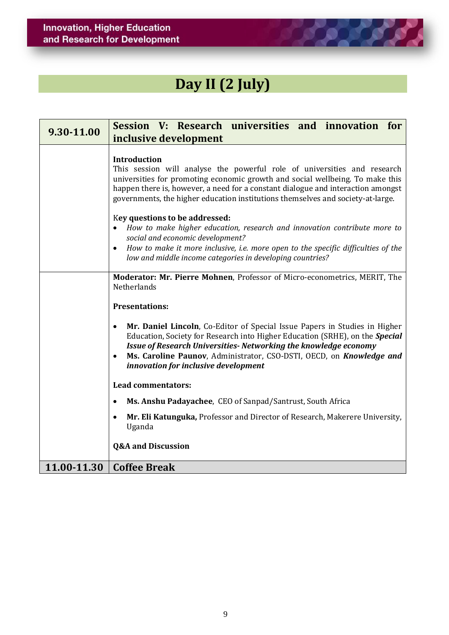

## **Day II (2 July)**

| 9.30-11.00  | Session V: Research universities and innovation<br>for<br>inclusive development                                                                                                                                                                                                                                                                                                                                                                                                                                                                                                                                                                                   |
|-------------|-------------------------------------------------------------------------------------------------------------------------------------------------------------------------------------------------------------------------------------------------------------------------------------------------------------------------------------------------------------------------------------------------------------------------------------------------------------------------------------------------------------------------------------------------------------------------------------------------------------------------------------------------------------------|
|             | Introduction<br>This session will analyse the powerful role of universities and research<br>universities for promoting economic growth and social wellbeing. To make this<br>happen there is, however, a need for a constant dialogue and interaction amongst<br>governments, the higher education institutions themselves and society-at-large.<br>Key questions to be addressed:<br>How to make higher education, research and innovation contribute more to<br>social and economic development?<br>How to make it more inclusive, i.e. more open to the specific difficulties of the<br>$\bullet$<br>low and middle income categories in developing countries? |
|             | Moderator: Mr. Pierre Mohnen, Professor of Micro-econometrics, MERIT, The<br><b>Netherlands</b><br><b>Presentations:</b><br>Mr. Daniel Lincoln, Co-Editor of Special Issue Papers in Studies in Higher<br>Education, Society for Research into Higher Education (SRHE), on the Special<br>Issue of Research Universities- Networking the knowledge economy<br>Ms. Caroline Paunov, Administrator, CSO-DSTI, OECD, on Knowledge and<br>innovation for inclusive development                                                                                                                                                                                        |
|             | <b>Lead commentators:</b>                                                                                                                                                                                                                                                                                                                                                                                                                                                                                                                                                                                                                                         |
|             | Ms. Anshu Padayachee, CEO of Sanpad/Santrust, South Africa<br>٠                                                                                                                                                                                                                                                                                                                                                                                                                                                                                                                                                                                                   |
|             | Mr. Eli Katunguka, Professor and Director of Research, Makerere University,<br>Uganda                                                                                                                                                                                                                                                                                                                                                                                                                                                                                                                                                                             |
|             | <b>Q&amp;A and Discussion</b>                                                                                                                                                                                                                                                                                                                                                                                                                                                                                                                                                                                                                                     |
| 11.00-11.30 | <b>Coffee Break</b>                                                                                                                                                                                                                                                                                                                                                                                                                                                                                                                                                                                                                                               |